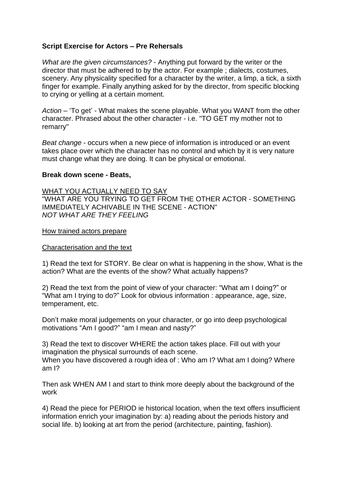## **Script Exercise for Actors – Pre Rehersals**

*What are the given circumstances?* - Anything put forward by the writer or the director that must be adhered to by the actor. For example ; dialects, costumes, scenery. Any physicality specified for a character by the writer, a limp, a tick, a sixth finger for example. Finally anything asked for by the director, from specific blocking to crying or yelling at a certain moment.

*Action* – 'To get' - What makes the scene playable. What you WANT from the other character. Phrased about the other character - i.e. "TO GET my mother not to remarry"

*Beat change* - occurs when a new piece of information is introduced or an event takes place over which the character has no control and which by it is very nature must change what they are doing. It can be physical or emotional.

## **Break down scene - Beats,**

WHAT YOU ACTUALLY NEED TO SAY "WHAT ARE YOU TRYING TO GET FROM THE OTHER ACTOR - SOMETHING IMMEDIATELY ACHIVABLE IN THE SCENE - ACTION" *NOT WHAT ARE THEY FEELING*

How trained actors prepare

## Characterisation and the text

1) Read the text for STORY. Be clear on what is happening in the show, What is the action? What are the events of the show? What actually happens?

2) Read the text from the point of view of your character: "What am I doing?" or "What am I trying to do?" Look for obvious information : appearance, age, size, temperament, etc.

Don't make moral judgements on your character, or go into deep psychological motivations "Am I good?" "am I mean and nasty?"

3) Read the text to discover WHERE the action takes place. Fill out with your imagination the physical surrounds of each scene.

When you have discovered a rough idea of : Who am I? What am I doing? Where am I?

Then ask WHEN AM I and start to think more deeply about the background of the work

4) Read the piece for PERIOD ie historical location, when the text offers insufficient information enrich your imagination by: a) reading about the periods history and social life. b) looking at art from the period (architecture, painting, fashion).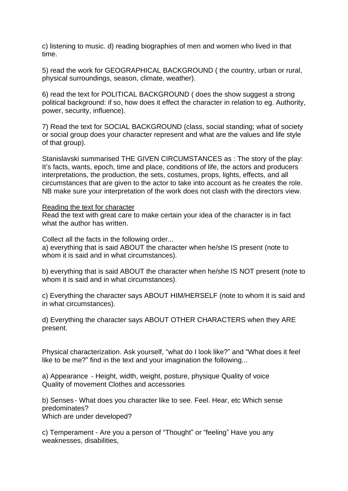c) listening to music. d) reading biographies of men and women who lived in that time.

5) read the work for GEOGRAPHICAL BACKGROUND ( the country, urban or rural, physical surroundings, season, climate, weather).

6) read the text for POLITICAL BACKGROUND ( does the show suggest a strong political background: if so, how does it effect the character in relation to eg. Authority, power, security, influence).

7) Read the text for SOCIAL BACKGROUND (class, social standing; what of society or social group does your character represent and what are the values and life style of that group).

Stanislavski summarised THE GIVEN CIRCUMSTANCES as : The story of the play: It's facts, wants, epoch, time and place, conditions of life, the actors and producers interpretations, the production, the sets, costumes, props, lights, effects, and all circumstances that are given to the actor to take into account as he creates the role. NB make sure your interpretation of the work does not clash with the directors view.

Reading the text for character

Read the text with great care to make certain your idea of the character is in fact what the author has written.

Collect all the facts in the following order...

a) everything that is said ABOUT the character when he/she IS present (note to whom it is said and in what circumstances).

b) everything that is said ABOUT the character when he/she IS NOT present (note to whom it is said and in what circumstances).

c) Everything the character says ABOUT HIM/HERSELF (note to whom it is said and in what circumstances).

d) Everything the character says ABOUT OTHER CHARACTERS when they ARE present.

Physical characterization. Ask yourself, "what do I look like?" and "What does it feel like to be me?" find in the text and your imagination the following...

a) Appearance - Height, width, weight, posture, physique Quality of voice Quality of movement Clothes and accessories

b) Senses - What does you character like to see. Feel. Hear, etc Which sense predominates? Which are under developed?

c) Temperament - Are you a person of "Thought" or "feeling" Have you any weaknesses, disabilities,